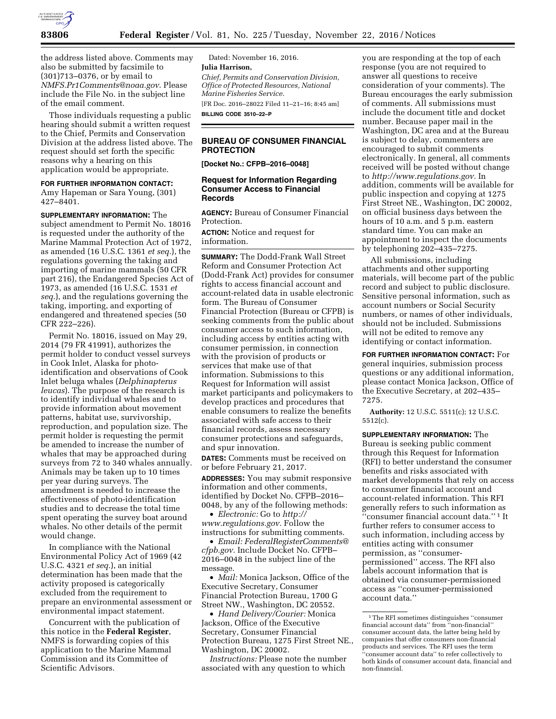

the address listed above. Comments may also be submitted by facsimile to (301)713–0376, or by email to *[NMFS.Pr1Comments@noaa.gov](mailto:NMFS.Pr1Comments@noaa.gov)*. Please include the File No. in the subject line of the email comment.

Those individuals requesting a public hearing should submit a written request to the Chief, Permits and Conservation Division at the address listed above. The request should set forth the specific reasons why a hearing on this application would be appropriate.

#### **FOR FURTHER INFORMATION CONTACT:**

Amy Hapeman or Sara Young, (301) 427–8401.

**SUPPLEMENTARY INFORMATION:** The subject amendment to Permit No. 18016 is requested under the authority of the Marine Mammal Protection Act of 1972, as amended (16 U.S.C. 1361 *et seq.*), the regulations governing the taking and importing of marine mammals (50 CFR part 216), the Endangered Species Act of 1973, as amended (16 U.S.C. 1531 *et seq.*), and the regulations governing the taking, importing, and exporting of endangered and threatened species (50 CFR 222–226).

Permit No. 18016, issued on May 29, 2014 (79 FR 41991), authorizes the permit holder to conduct vessel surveys in Cook Inlet, Alaska for photoidentification and observations of Cook Inlet beluga whales (*Delphinapterus leucas*). The purpose of the research is to identify individual whales and to provide information about movement patterns, habitat use, survivorship, reproduction, and population size. The permit holder is requesting the permit be amended to increase the number of whales that may be approached during surveys from 72 to 340 whales annually. Animals may be taken up to 10 times per year during surveys. The amendment is needed to increase the effectiveness of photo-identification studies and to decrease the total time spent operating the survey boat around whales. No other details of the permit would change.

In compliance with the National Environmental Policy Act of 1969 (42 U.S.C. 4321 *et seq.*), an initial determination has been made that the activity proposed is categorically excluded from the requirement to prepare an environmental assessment or environmental impact statement.

Concurrent with the publication of this notice in the **Federal Register**, NMFS is forwarding copies of this application to the Marine Mammal Commission and its Committee of Scientific Advisors.

Dated: November 16, 2016. **Julia Harrison,**  *Chief, Permits and Conservation Division, Office of Protected Resources, National Marine Fisheries Service.*  [FR Doc. 2016–28022 Filed 11–21–16; 8:45 am]

**BILLING CODE 3510–22–P** 

# **BUREAU OF CONSUMER FINANCIAL PROTECTION**

**[Docket No.: CFPB–2016–0048]** 

# **Request for Information Regarding Consumer Access to Financial Records**

**AGENCY:** Bureau of Consumer Financial Protection.

**ACTION:** Notice and request for information.

**SUMMARY:** The Dodd-Frank Wall Street Reform and Consumer Protection Act (Dodd-Frank Act) provides for consumer rights to access financial account and account-related data in usable electronic form. The Bureau of Consumer Financial Protection (Bureau or CFPB) is seeking comments from the public about consumer access to such information, including access by entities acting with consumer permission, in connection with the provision of products or services that make use of that information. Submissions to this Request for Information will assist market participants and policymakers to develop practices and procedures that enable consumers to realize the benefits associated with safe access to their financial records, assess necessary consumer protections and safeguards, and spur innovation.

**DATES:** Comments must be received on or before February 21, 2017.

**ADDRESSES:** You may submit responsive information and other comments, identified by Docket No. CFPB–2016– 0048, by any of the following methods:

• *Electronic:* Go to *[http://](http://www.regulations.gov) [www.regulations.gov.](http://www.regulations.gov)* Follow the instructions for submitting comments.

• *Email: [FederalRegisterComments@](mailto:FederalRegisterComments@cfpb.gov) [cfpb.gov.](mailto:FederalRegisterComments@cfpb.gov)* Include Docket No. CFPB– 2016–0048 in the subject line of the message.

• *Mail:* Monica Jackson, Office of the Executive Secretary, Consumer Financial Protection Bureau, 1700 G Street NW., Washington, DC 20552.

• *Hand Delivery/Courier:* Monica Jackson, Office of the Executive Secretary, Consumer Financial Protection Bureau, 1275 First Street NE., Washington, DC 20002.

*Instructions:* Please note the number associated with any question to which

you are responding at the top of each response (you are not required to answer all questions to receive consideration of your comments). The Bureau encourages the early submission of comments. All submissions must include the document title and docket number. Because paper mail in the Washington, DC area and at the Bureau is subject to delay, commenters are encouraged to submit comments electronically. In general, all comments received will be posted without change to *[http://www.regulations.gov.](http://www.regulations.gov)* In addition, comments will be available for public inspection and copying at 1275 First Street NE., Washington, DC 20002, on official business days between the hours of 10 a.m. and 5 p.m. eastern standard time. You can make an appointment to inspect the documents by telephoning 202–435–7275.

All submissions, including attachments and other supporting materials, will become part of the public record and subject to public disclosure. Sensitive personal information, such as account numbers or Social Security numbers, or names of other individuals, should not be included. Submissions will not be edited to remove any identifying or contact information.

**FOR FURTHER INFORMATION CONTACT:** For general inquiries, submission process questions or any additional information, please contact Monica Jackson, Office of the Executive Secretary, at 202–435– 7275.

**Authority:** 12 U.S.C. 5511(c); 12 U.S.C. 5512(c).

**SUPPLEMENTARY INFORMATION:** The Bureau is seeking public comment through this Request for Information (RFI) to better understand the consumer benefits and risks associated with market developments that rely on access to consumer financial account and account-related information. This RFI generally refers to such information as ''consumer financial account data.'' 1 It further refers to consumer access to such information, including access by entities acting with consumer permission, as ''consumerpermissioned'' access. The RFI also labels account information that is obtained via consumer-permissioned access as ''consumer-permissioned account data.''

<sup>1</sup>The RFI sometimes distinguishes ''consumer financial account data'' from ''non-financial'' consumer account data, the latter being held by companies that offer consumers non-financial products and services. The RFI uses the term ''consumer account data'' to refer collectively to both kinds of consumer account data, financial and non-financial.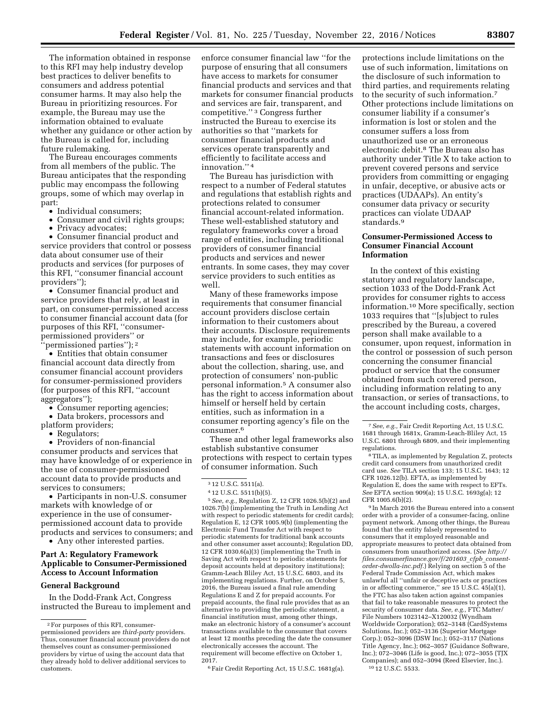The information obtained in response to this RFI may help industry develop best practices to deliver benefits to consumers and address potential consumer harms. It may also help the Bureau in prioritizing resources. For example, the Bureau may use the information obtained to evaluate whether any guidance or other action by the Bureau is called for, including future rulemaking.

The Bureau encourages comments from all members of the public. The Bureau anticipates that the responding public may encompass the following groups, some of which may overlap in part:

- Individual consumers;
- Consumer and civil rights groups;
- Privacy advocates;

• Consumer financial product and service providers that control or possess data about consumer use of their products and services (for purposes of this RFI, ''consumer financial account providers'');

• Consumer financial product and service providers that rely, at least in part, on consumer-permissioned access to consumer financial account data (for purposes of this RFI, ''consumerpermissioned providers'' or 'permissioned parties"); <sup>2</sup>

• Entities that obtain consumer financial account data directly from consumer financial account providers for consumer-permissioned providers (for purposes of this RFI, ''account aggregators'');

• Consumer reporting agencies;

• Data brokers, processors and platform providers;

• Regulators;

• Providers of non-financial consumer products and services that may have knowledge of or experience in the use of consumer-permissioned account data to provide products and services to consumers;

• Participants in non-U.S. consumer markets with knowledge of or experience in the use of consumerpermissioned account data to provide products and services to consumers; and

• Any other interested parties.

# **Part A: Regulatory Framework Applicable to Consumer-Permissioned Access to Account Information**

#### **General Background**

In the Dodd-Frank Act, Congress instructed the Bureau to implement and

enforce consumer financial law ''for the purpose of ensuring that all consumers have access to markets for consumer financial products and services and that markets for consumer financial products and services are fair, transparent, and competitive.'' 3 Congress further instructed the Bureau to exercise its authorities so that ''markets for consumer financial products and services operate transparently and efficiently to facilitate access and innovation."<sup>4</sup>

The Bureau has jurisdiction with respect to a number of Federal statutes and regulations that establish rights and protections related to consumer financial account-related information. These well-established statutory and regulatory frameworks cover a broad range of entities, including traditional providers of consumer financial products and services and newer entrants. In some cases, they may cover service providers to such entities as well.

Many of these frameworks impose requirements that consumer financial account providers disclose certain information to their customers about their accounts. Disclosure requirements may include, for example, periodic statements with account information on transactions and fees or disclosures about the collection, sharing, use, and protection of consumers' non-public personal information.5 A consumer also has the right to access information about himself or herself held by certain entities, such as information in a consumer reporting agency's file on the consumer.6

These and other legal frameworks also establish substantive consumer protections with respect to certain types of consumer information. Such

4 12 U.S.C. 5511(b)(5).

5*See, e.g.,* Regulation Z, 12 CFR 1026.5(b)(2) and 1026.7(b) (implementing the Truth in Lending Act with respect to periodic statements for credit cards); Regulation E, 12 CFR 1005.9(b) (implementing the Electronic Fund Transfer Act with respect to periodic statements for traditional bank accounts and other consumer asset accounts); Regulation DD, 12 CFR 1030.6(a)(3) (implementing the Truth in Saving Act with respect to periodic statements for deposit accounts held at depository institutions); Gramm-Leach Bliley Act, 15 U.S.C. 6803, and its implementing regulations. Further, on October 5, 2016, the Bureau issued a final rule amending Regulations E and Z for prepaid accounts. For prepaid accounts, the final rule provides that as an alternative to providing the periodic statement, a financial institution must, among other things, make an electronic history of a consumer's account transactions available to the consumer that covers at least 12 months preceding the date the consumer electronically accesses the account. The requirement will become effective on October 1, 2017.

6Fair Credit Reporting Act, 15 U.S.C. 1681g(a).

protections include limitations on the use of such information, limitations on the disclosure of such information to third parties, and requirements relating to the security of such information.7 Other protections include limitations on consumer liability if a consumer's information is lost or stolen and the consumer suffers a loss from unauthorized use or an erroneous electronic debit.8 The Bureau also has authority under Title X to take action to prevent covered persons and service providers from committing or engaging in unfair, deceptive, or abusive acts or practices (UDAAPs). An entity's consumer data privacy or security practices can violate UDAAP standards.9

## **Consumer-Permissioned Access to Consumer Financial Account Information**

In the context of this existing statutory and regulatory landscape, section 1033 of the Dodd-Frank Act provides for consumer rights to access information.10 More specifically, section 1033 requires that ''[s]ubject to rules prescribed by the Bureau, a covered person shall make available to a consumer, upon request, information in the control or possession of such person concerning the consumer financial product or service that the consumer obtained from such covered person, including information relating to any transaction, or series of transactions, to the account including costs, charges,

9 In March 2016 the Bureau entered into a consent order with a provider of a consumer-facing, online payment network. Among other things, the Bureau found that the entity falsely represented to consumers that it employed reasonable and appropriate measures to protect data obtained from consumers from unauthorized access. (*See [http://](http://files.consumerfinance.gov/f/201603_cfpb_consent-order-dwolla-inc.pdf) [files.consumerfinance.gov/f/201603](http://files.consumerfinance.gov/f/201603_cfpb_consent-order-dwolla-inc.pdf)*\_*cfpb*\_*consent[order-dwolla-inc.pdf.](http://files.consumerfinance.gov/f/201603_cfpb_consent-order-dwolla-inc.pdf)*) Relying on section 5 of the Federal Trade Commission Act, which makes unlawful all ''unfair or deceptive acts or practices in or affecting commerce,'' *see* 15 U.S.C. 45(a)(1), the FTC has also taken action against companies that fail to take reasonable measures to protect the security of consumer data. *See, e.g.,* FTC Matter/ File Numbers 1023142–X120032 (Wyndham Worldwide Corporation); 052–3148 (CardSystems Solutions, Inc.); 052–3136 (Superior Mortgage Corp.); 052–3096 (DSW Inc.); 052–3117 (Nations Title Agency, Inc.); 062–3057 (Guidance Software, Inc.); 072–3046 (Life is good, Inc.); 072–3055 (TJX Companies); and 052–3094 (Reed Elsevier, Inc.). 10 12 U.S.C. 5533.

<sup>2</sup>For purposes of this RFI, consumerpermissioned providers are *third-party* providers. Thus, consumer financial account providers do not themselves count as consumer-permissioned providers by virtue of using the account data that they already hold to deliver additional services to customers.

<sup>3</sup> 12 U.S.C. 5511(a).

<sup>7</sup>*See, e.g.,* Fair Credit Reporting Act, 15 U.S.C. 1681 through 1681x, Gramm-Leach-Bliley Act, 15 U.S.C. 6801 through 6809, and their implementing regulations.

<sup>8</sup>TILA, as implemented by Regulation Z, protects credit card consumers from unauthorized credit card use. *See* TILA section 133; 15 U.S.C. 1643; 12 CFR 1026.12(b). EFTA, as implemented by Regulation E, does the same with respect to EFTs. *See* EFTA section 909(a); 15 U.S.C. 1693g(a); 12 CFR 1005.6(b)(2).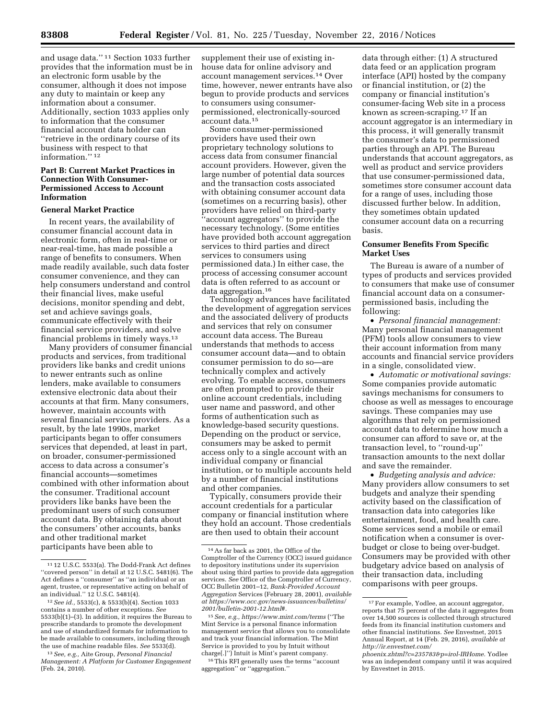and usage data.'' 11 Section 1033 further provides that the information must be in an electronic form usable by the consumer, although it does not impose any duty to maintain or keep any information about a consumer. Additionally, section 1033 applies only to information that the consumer financial account data holder can ''retrieve in the ordinary course of its business with respect to that information.'' 12

# **Part B: Current Market Practices in Connection With Consumer-Permissioned Access to Account Information**

# **General Market Practice**

In recent years, the availability of consumer financial account data in electronic form, often in real-time or near-real-time, has made possible a range of benefits to consumers. When made readily available, such data foster consumer convenience, and they can help consumers understand and control their financial lives, make useful decisions, monitor spending and debt, set and achieve savings goals, communicate effectively with their financial service providers, and solve financial problems in timely ways.13

Many providers of consumer financial products and services, from traditional providers like banks and credit unions to newer entrants such as online lenders, make available to consumers extensive electronic data about their accounts at that firm. Many consumers, however, maintain accounts with several financial service providers. As a result, by the late 1990s, market participants began to offer consumers services that depended, at least in part, on broader, consumer-permissioned access to data across a consumer's financial accounts—sometimes combined with other information about the consumer. Traditional account providers like banks have been the predominant users of such consumer account data. By obtaining data about the consumers' other accounts, banks and other traditional market participants have been able to

supplement their use of existing inhouse data for online advisory and account management services.14 Over time, however, newer entrants have also begun to provide products and services to consumers using consumerpermissioned, electronically-sourced account data.15

Some consumer-permissioned providers have used their own proprietary technology solutions to access data from consumer financial account providers. However, given the large number of potential data sources and the transaction costs associated with obtaining consumer account data (sometimes on a recurring basis), other providers have relied on third-party 'account aggregators'' to provide the necessary technology. (Some entities have provided both account aggregation services to third parties and direct services to consumers using permissioned data.) In either case, the process of accessing consumer account data is often referred to as account or data aggregation.16

Technology advances have facilitated the development of aggregation services and the associated delivery of products and services that rely on consumer account data access. The Bureau understands that methods to access consumer account data—and to obtain consumer permission to do so—are technically complex and actively evolving. To enable access, consumers are often prompted to provide their online account credentials, including user name and password, and other forms of authentication such as knowledge-based security questions. Depending on the product or service, consumers may be asked to permit access only to a single account with an individual company or financial institution, or to multiple accounts held by a number of financial institutions and other companies.

Typically, consumers provide their account credentials for a particular company or financial institution where they hold an account. Those credentials are then used to obtain their account

data through either: (1) A structured data feed or an application program interface (API) hosted by the company or financial institution, or (2) the company or financial institution's consumer-facing Web site in a process known as screen-scraping.17 If an account aggregator is an intermediary in this process, it will generally transmit the consumer's data to permissioned parties through an API. The Bureau understands that account aggregators, as well as product and service providers that use consumer-permissioned data, sometimes store consumer account data for a range of uses, including those discussed further below. In addition, they sometimes obtain updated consumer account data on a recurring basis.

## **Consumer Benefits From Specific Market Uses**

The Bureau is aware of a number of types of products and services provided to consumers that make use of consumer financial account data on a consumerpermissioned basis, including the following:

• *Personal financial management:*  Many personal financial management (PFM) tools allow consumers to view their account information from many accounts and financial service providers in a single, consolidated view.

• *Automatic or motivational savings:*  Some companies provide automatic savings mechanisms for consumers to choose as well as messages to encourage savings. These companies may use algorithms that rely on permissioned account data to determine how much a consumer can afford to save or, at the transaction level, to ''round-up'' transaction amounts to the next dollar and save the remainder.

• *Budgeting analysis and advice:*  Many providers allow consumers to set budgets and analyze their spending activity based on the classification of transaction data into categories like entertainment, food, and health care. Some services send a mobile or email notification when a consumer is overbudget or close to being over-budget. Consumers may be provided with other budgetary advice based on analysis of their transaction data, including comparisons with peer groups.

<sup>11</sup> 12 U.S.C. 5533(a). The Dodd-Frank Act defines ''covered person'' in detail at 12 U.S.C. 5481(6). The Act defines a ''consumer'' as ''an individual or an agent, trustee, or representative acting on behalf of an individual.'' 12 U.S.C. 5481(4).

<sup>12</sup>*See id.,* 5533(c), & 5533(b)(4). Section 1033 contains a number of other exceptions. *See*  5533(b)(1)–(3). In addition, it requires the Bureau to prescribe standards to promote the development and use of standardized formats for information to be made available to consumers, including through the use of machine readable files. *See* 5533(d).

<sup>13</sup>*See, e.g.,* Aite Group, *Personal Financial Management: A Platform for Customer Engagement*  (Feb. 24, 2010).

<sup>14</sup>As far back as 2001, the Office of the Comptroller of the Currency (OCC) issued guidance to depository institutions under its supervision about using third parties to provide data aggregation services. *See* Office of the Comptroller of Currency, OCC Bulletin 2001–12, *Bank-Provided Account Aggregation* Services (February 28, 2001), *available at [https://www.occ.gov/news-issuances/bulletins/](https://www.occ.gov/news-issuances/bulletins/2001/bulletin-2001-12.html#) [2001/bulletin-2001-12.html#.](https://www.occ.gov/news-issuances/bulletins/2001/bulletin-2001-12.html#)* 

<sup>15</sup>*See, e.g.,<https://www.mint.com/terms>*(''The Mint Service is a personal finance information management service that allows you to consolidate and track your financial information. The Mint Service is provided to you by Intuit without charge[.]'') Intuit is Mint's parent company.

<sup>16</sup>This RFI generally uses the terms ''account aggregation'' or ''aggregation.''

<sup>17</sup>For example, Yodlee, an account aggregator, reports that 75 percent of the data it aggregates from over 14,500 sources is collected through structured feeds from its financial institution customers and other financial institutions. *See* Envestnet, 2015 Annual Report, at 14 (Feb. 29, 2016), *available at [http://ir.envestnet.com/](http://ir.envestnet.com/phoenix.zhtml?c=235783&p=irol-IRHome)* 

*[phoenix.zhtml?c=235783&p=irol-IRHome.](http://ir.envestnet.com/phoenix.zhtml?c=235783&p=irol-IRHome)* Yodlee was an independent company until it was acquired by Envestnet in 2015.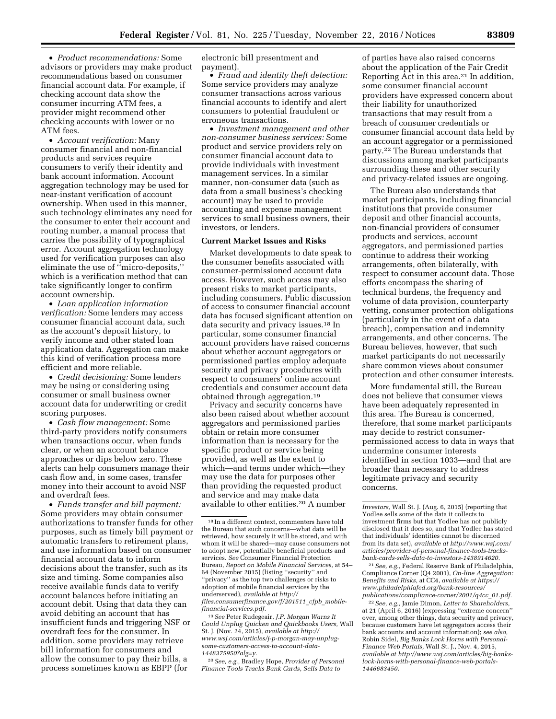• *Product recommendations:* Some advisors or providers may make product recommendations based on consumer financial account data. For example, if checking account data show the consumer incurring ATM fees, a provider might recommend other checking accounts with lower or no ATM fees.

• *Account verification:* Many consumer financial and non-financial products and services require consumers to verify their identity and bank account information. Account aggregation technology may be used for near-instant verification of account ownership. When used in this manner, such technology eliminates any need for the consumer to enter their account and routing number, a manual process that carries the possibility of typographical error. Account aggregation technology used for verification purposes can also eliminate the use of ''micro-deposits,'' which is a verification method that can take significantly longer to confirm account ownership.

• *Loan application information verification:* Some lenders may access consumer financial account data, such as the account's deposit history, to verify income and other stated loan application data. Aggregation can make this kind of verification process more efficient and more reliable.

• *Credit decisioning:* Some lenders may be using or considering using consumer or small business owner account data for underwriting or credit scoring purposes.

• *Cash flow management:* Some third-party providers notify consumers when transactions occur, when funds clear, or when an account balance approaches or dips below zero. These alerts can help consumers manage their cash flow and, in some cases, transfer money into their account to avoid NSF and overdraft fees.

• *Funds transfer and bill payment:*  Some providers may obtain consumer authorizations to transfer funds for other purposes, such as timely bill payment or automatic transfers to retirement plans, and use information based on consumer financial account data to inform decisions about the transfer, such as its size and timing. Some companies also receive available funds data to verify account balances before initiating an account debit. Using that data they can avoid debiting an account that has insufficient funds and triggering NSF or overdraft fees for the consumer. In addition, some providers may retrieve bill information for consumers and allow the consumer to pay their bills, a process sometimes known as EBPP (for

electronic bill presentment and payment).

• *Fraud and identity theft detection:*  Some service providers may analyze consumer transactions across various financial accounts to identify and alert consumers to potential fraudulent or erroneous transactions.

• *Investment management and other non-consumer business services:* Some product and service providers rely on consumer financial account data to provide individuals with investment management services. In a similar manner, non-consumer data (such as data from a small business's checking account) may be used to provide accounting and expense management services to small business owners, their investors, or lenders.

#### **Current Market Issues and Risks**

Market developments to date speak to the consumer benefits associated with consumer-permissioned account data access. However, such access may also present risks to market participants, including consumers. Public discussion of access to consumer financial account data has focused significant attention on data security and privacy issues.18 In particular, some consumer financial account providers have raised concerns about whether account aggregators or permissioned parties employ adequate security and privacy procedures with respect to consumers' online account credentials and consumer account data obtained through aggregation.19

Privacy and security concerns have also been raised about whether account aggregators and permissioned parties obtain or retain more consumer information than is necessary for the specific product or service being provided, as well as the extent to which—and terms under which—they may use the data for purposes other than providing the requested product and service and may make data available to other entities.20 A number

20*See, e.g.,* Bradley Hope, *Provider of Personal Finance Tools Tracks Bank Cards, Sells Data to* 

of parties have also raised concerns about the application of the Fair Credit Reporting Act in this area.21 In addition, some consumer financial account providers have expressed concern about their liability for unauthorized transactions that may result from a breach of consumer credentials or consumer financial account data held by an account aggregator or a permissioned party.22 The Bureau understands that discussions among market participants surrounding these and other security and privacy-related issues are ongoing.

The Bureau also understands that market participants, including financial institutions that provide consumer deposit and other financial accounts, non-financial providers of consumer products and services, account aggregators, and permissioned parties continue to address their working arrangements, often bilaterally, with respect to consumer account data. Those efforts encompass the sharing of technical burdens, the frequency and volume of data provision, counterparty vetting, consumer protection obligations (particularly in the event of a data breach), compensation and indemnity arrangements, and other concerns. The Bureau believes, however, that such market participants do not necessarily share common views about consumer protection and other consumer interests.

More fundamental still, the Bureau does not believe that consumer views have been adequately represented in this area. The Bureau is concerned, therefore, that some market participants may decide to restrict consumerpermissioned access to data in ways that undermine consumer interests identified in section 1033—and that are broader than necessary to address legitimate privacy and security concerns.

21*See, e.g.,* Federal Reserve Bank of Philadelphia, Compliance Corner (Q4 2001), *On-line Aggregation: Benefits and Risks,* at CC4, *available at [https://](https://www.philadelphiafed.org/bank-resources/publications/compliance-corner/2001/q4cc_01.pdf)  [www.philadelphiafed.org/bank-resources/](https://www.philadelphiafed.org/bank-resources/publications/compliance-corner/2001/q4cc_01.pdf)  [publications/compliance-corner/2001/q4cc](https://www.philadelphiafed.org/bank-resources/publications/compliance-corner/2001/q4cc_01.pdf)*\_*01.pdf.* 

22*See, e.g.,* Jamie Dimon, *Letter to Shareholders,*  at 21 (April 6, 2016) (expressing ''extreme concern'' over, among other things, data security and privacy, because customers have let aggregators access their bank accounts and account information); see also, Robin Sidel, *Big Banks Lock Horns with Personal-Finance Web Portals,* Wall St. J., Nov. 4, 2015, *available at [http://www.wsj.com/articles/big-banks](http://www.wsj.com/articles/big-banks-lock-horns-with-personal-finance-web-portals-1446683450)[lock-horns-with-personal-finance-web-portals-](http://www.wsj.com/articles/big-banks-lock-horns-with-personal-finance-web-portals-1446683450)[1446683450.](http://www.wsj.com/articles/big-banks-lock-horns-with-personal-finance-web-portals-1446683450)* 

<sup>18</sup> In a different context, commenters have told the Bureau that such concerns—what data will be retrieved, how securely it will be stored, and with whom it will be shared—may cause consumers not to adopt new, potentially beneficial products and services. *See* Consumer Financial Protection Bureau, *Report on Mobile Financial Services,* at 54– 64 (November 2015) (listing ''security'' and 'privacy" as the top two challenges or risks to adoption of mobile financial services by the underserved), *available at [http://](http://files.consumerfinance.gov/f/201511_cfpb_mobile-financial-services.pdf) [files.consumerfinance.gov/f/201511](http://files.consumerfinance.gov/f/201511_cfpb_mobile-financial-services.pdf)*\_*cfpb*\_*mobile[financial-services.pdf.](http://files.consumerfinance.gov/f/201511_cfpb_mobile-financial-services.pdf)* 

<sup>19</sup>*See* Peter Rudegeair, *J.P. Morgan Warns It Could Unplug Quicken and Quickbooks Users,* Wall St. J. (Nov. 24, 2015), *available at [http://](http://www.wsj.com/articles/j-p-morgan-may-unplug-some-customers-access-to-account-data-1448375950?alg=y)  [www.wsj.com/articles/j-p-morgan-may-unplug](http://www.wsj.com/articles/j-p-morgan-may-unplug-some-customers-access-to-account-data-1448375950?alg=y)[some-customers-access-to-account-data-](http://www.wsj.com/articles/j-p-morgan-may-unplug-some-customers-access-to-account-data-1448375950?alg=y)[1448375950?alg=y.](http://www.wsj.com/articles/j-p-morgan-may-unplug-some-customers-access-to-account-data-1448375950?alg=y)* 

*Investors,* Wall St. J. (Aug. 6, 2015) (reporting that Yodlee sells some of the data it collects to investment firms but that Yodlee has not publicly disclosed that it does so, and that Yodlee has stated that individuals' identities cannot be discerned from its data set), *available at [http://www.wsj.com/](http://www.wsj.com/articles/provider-of-personal-finance-tools-tracks-bank-cards-sells-data-to-investors-1438914620) [articles/provider-of-personal-finance-tools-tracks](http://www.wsj.com/articles/provider-of-personal-finance-tools-tracks-bank-cards-sells-data-to-investors-1438914620)[bank-cards-sells-data-to-investors-1438914620.](http://www.wsj.com/articles/provider-of-personal-finance-tools-tracks-bank-cards-sells-data-to-investors-1438914620)*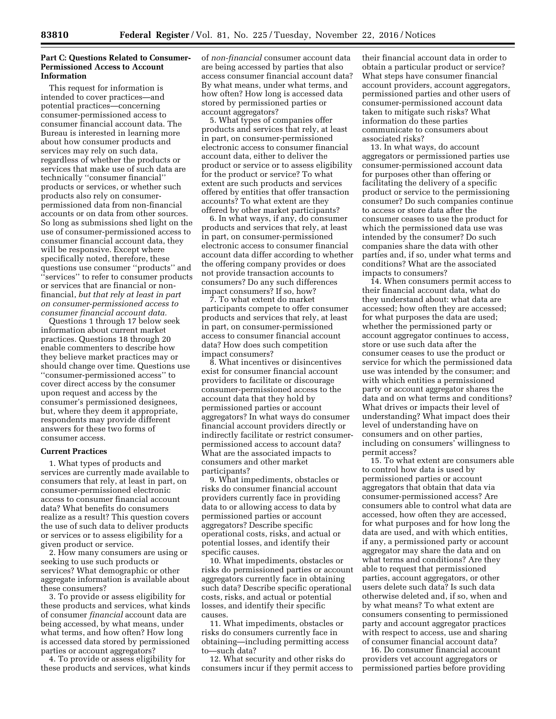# **Part C: Questions Related to Consumer-Permissioned Access to Account Information**

This request for information is intended to cover practices—and potential practices—concerning consumer-permissioned access to consumer financial account data. The Bureau is interested in learning more about how consumer products and services may rely on such data, regardless of whether the products or services that make use of such data are technically ''consumer financial'' products or services, or whether such products also rely on consumerpermissioned data from non-financial accounts or on data from other sources. So long as submissions shed light on the use of consumer-permissioned access to consumer financial account data, they will be responsive. Except where specifically noted, therefore, these questions use consumer ''products'' and ''services'' to refer to consumer products or services that are financial or nonfinancial, *but that rely at least in part on consumer-permissioned access to consumer financial account data.* 

Questions 1 through 17 below seek information about current market practices. Questions 18 through 20 enable commenters to describe how they believe market practices may or should change over time. Questions use ''consumer-permissioned access'' to cover direct access by the consumer upon request and access by the consumer's permissioned designees, but, where they deem it appropriate, respondents may provide different answers for these two forms of consumer access.

#### **Current Practices**

1. What types of products and services are currently made available to consumers that rely, at least in part, on consumer-permissioned electronic access to consumer financial account data? What benefits do consumers realize as a result? This question covers the use of such data to deliver products or services or to assess eligibility for a given product or service.

2. How many consumers are using or seeking to use such products or services? What demographic or other aggregate information is available about these consumers?

3. To provide or assess eligibility for these products and services, what kinds of consumer *financial* account data are being accessed, by what means, under what terms, and how often? How long is accessed data stored by permissioned parties or account aggregators?

4. To provide or assess eligibility for these products and services, what kinds of *non-financial* consumer account data are being accessed by parties that also access consumer financial account data? By what means, under what terms, and how often? How long is accessed data stored by permissioned parties or account aggregators?

5. What types of companies offer products and services that rely, at least in part, on consumer-permissioned electronic access to consumer financial account data, either to deliver the product or service or to assess eligibility for the product or service? To what extent are such products and services offered by entities that offer transaction accounts? To what extent are they offered by other market participants?

6. In what ways, if any, do consumer products and services that rely, at least in part, on consumer-permissioned electronic access to consumer financial account data differ according to whether the offering company provides or does not provide transaction accounts to consumers? Do any such differences impact consumers? If so, how?

7. To what extent do market participants compete to offer consumer products and services that rely, at least in part, on consumer-permissioned access to consumer financial account data? How does such competition impact consumers?

8. What incentives or disincentives exist for consumer financial account providers to facilitate or discourage consumer-permissioned access to the account data that they hold by permissioned parties or account aggregators? In what ways do consumer financial account providers directly or indirectly facilitate or restrict consumerpermissioned access to account data? What are the associated impacts to consumers and other market participants?

9. What impediments, obstacles or risks do consumer financial account providers currently face in providing data to or allowing access to data by permissioned parties or account aggregators? Describe specific operational costs, risks, and actual or potential losses, and identify their specific causes.

10. What impediments, obstacles or risks do permissioned parties or account aggregators currently face in obtaining such data? Describe specific operational costs, risks, and actual or potential losses, and identify their specific causes.

11. What impediments, obstacles or risks do consumers currently face in obtaining—including permitting access -such data?

12. What security and other risks do consumers incur if they permit access to their financial account data in order to obtain a particular product or service? What steps have consumer financial account providers, account aggregators, permissioned parties and other users of consumer-permissioned account data taken to mitigate such risks? What information do these parties communicate to consumers about associated risks?

13. In what ways, do account aggregators or permissioned parties use consumer-permissioned account data for purposes other than offering or facilitating the delivery of a specific product or service to the permissioning consumer? Do such companies continue to access or store data after the consumer ceases to use the product for which the permissioned data use was intended by the consumer? Do such companies share the data with other parties and, if so, under what terms and conditions? What are the associated impacts to consumers?

14. When consumers permit access to their financial account data, what do they understand about: what data are accessed; how often they are accessed; for what purposes the data are used; whether the permissioned party or account aggregator continues to access, store or use such data after the consumer ceases to use the product or service for which the permissioned data use was intended by the consumer; and with which entities a permissioned party or account aggregator shares the data and on what terms and conditions? What drives or impacts their level of understanding? What impact does their level of understanding have on consumers and on other parties, including on consumers' willingness to permit access?

15. To what extent are consumers able to control how data is used by permissioned parties or account aggregators that obtain that data via consumer-permissioned access? Are consumers able to control what data are accessed, how often they are accessed, for what purposes and for how long the data are used, and with which entities, if any, a permissioned party or account aggregator may share the data and on what terms and conditions? Are they able to request that permissioned parties, account aggregators, or other users delete such data? Is such data otherwise deleted and, if so, when and by what means? To what extent are consumers consenting to permissioned party and account aggregator practices with respect to access, use and sharing of consumer financial account data?

16. Do consumer financial account providers vet account aggregators or permissioned parties before providing